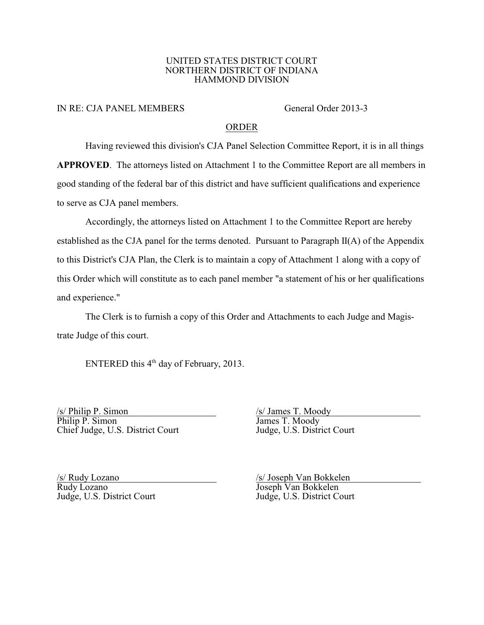### UNITED STATES DISTRICT COURT NORTHERN DISTRICT OF INDIANA HAMMOND DIVISION

### IN RE: CJA PANEL MEMBERS General Order 2013-3

### ORDER

Having reviewed this division's CJA Panel Selection Committee Report, it is in all things **APPROVED**. The attorneys listed on Attachment 1 to the Committee Report are all members in good standing of the federal bar of this district and have sufficient qualifications and experience to serve as CJA panel members.

Accordingly, the attorneys listed on Attachment 1 to the Committee Report are hereby established as the CJA panel for the terms denoted. Pursuant to Paragraph II(A) of the Appendix to this District's CJA Plan, the Clerk is to maintain a copy of Attachment 1 along with a copy of this Order which will constitute as to each panel member "a statement of his or her qualifications and experience."

The Clerk is to furnish a copy of this Order and Attachments to each Judge and Magistrate Judge of this court.

ENTERED this  $4<sup>th</sup>$  day of February, 2013.

(s/ Philip P. Simon /s/ James T. Moody<br>
Philip P. Simon /s/ James T. Moody Chief Judge, U.S. District Court

James T. Moody<br>Judge, U.S. District Court

(s/ Rudy Lozano /s/ Joseph Van Bokkelen<br>
Rudy Lozano /s/ Joseph Van Bokkelen Judge, U.S. District Court

Joseph Van Bokkelen<br>Judge, U.S. District Court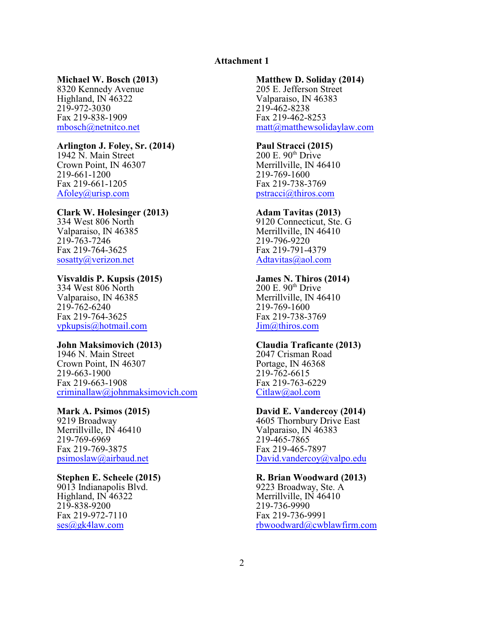### **Attachment 1**

8320 Kennedy Avenue Highland, IN 46322 Valparaiso, IN 46383<br>219-972-3030 219-462-8238 219-972-3030<br>
Fax 219-838-1909<br>
Fax 219-462-8253 Fax 219-838-1909

## **Arlington J. Foley, Sr. (2014) Paul Stracci (2015)**<br>1942 N. Main Street 200 E. 90<sup>th</sup> Drive

1942 N. Main Street 200 E. 90<sup>th</sup> Drive<br>
Crown Point, IN 46307 Merrillville, IN 46410 Crown Point, IN 46307 Merrillville, IN<br>219-661-1200 219-769-1600 219-661-1200<br>
Fax 219-661-1205<br>
Fax 219-738-3769 Fax 219-661-1205 [Afoley@urisp.com](mailto:Afoley@urisp.com) [pstracci@thiros.com](mailto:Attystewart@hotmail.com)

# **Clark W. Holesinger (2013) Adam Tavitas (2013)**

219-763-7246  $\text{Fax } 219 - 764 - 3625$ <br>  $\text{Sosatty@verizon.net}$   $\text{Advitas@aol.com}$ [sosatty@verizon.net](mailto:sosatty@verizon.net)

## **Visvaldis P. Kupsis (2015) James N. Thiros (2014)**<br>334 West 806 North 200 E. 90<sup>th</sup> Drive

334 West 806 North<br>Valparaiso, IN 46385 219-762-6240<br>
Fax 219-764-3625<br>
Fax 219-738-3769 Fax 219-764-3625<br>
Fax 219-738-376<br>
Fax 219-738-376<br>  $\frac{1}{\text{Im}(a)}$ <br>  $\frac{\text{Im}(a)}{\text{Im}(a)}$  $vpkupsis@hotmail.com$ 

1946 N. Main Street 2047 Crisman Road<br>
Crown Point, IN 46307 Portage, IN 46368 Crown Point, IN 46307<br>219-663-1900 219-762-6615 219-663-1900<br>
Fax 219-663-1908<br>
Fax 219-763-6229 Fax 219-663-1908 Fax 219-763-622<br>
criminallaw@johnmaksimovich.com Citlaw@aol.com  $criminallaw@johnmaksimovich.com$ 

Merrillville, IN  $46410$ 219-769-6969<br>
Fax 219-769-3875<br>
Fax 219-465-7897 Fax 219-769-3875

219-838-9200<br>
Fax 219-972-7110<br>
Fax 219-736-9991 Fax 219-972-7110<br>ses $\left(\frac{\partial g}{\partial x}\right)$ 

# **Michael W. Bosch (2013) Matthew D. Soliday (2014)** 8320 Kennedy Avenue 205 E. Jefferson Street

[mbosch@netnitco.net](mailto:mbosch@netnitco.net) [matt@matthewsolidaylaw.com](mailto:Msoliday@verizon.net)

334 West 806 North 9120 Connecticut, Ste. G<br>Valparaiso, IN 46385 Merrillville, IN 46410 Merrillville, IN 46410<br>219-796-9220

Merrillville, IN 46410<br>219-769-1600

### **John Maksimovich (2013) Claudia Traficante (2013)**

# **Mark A. Psimos (2015) David E. Vandercoy (2014) David E. Vandercoy (2014) Provided Provide Provide Provide Provide Provide Provide Provide Provide Provide Provide Provide Provide Provide**

4605 Thornbury Drive East<br>Valparaiso, IN 46383 [psimoslaw@airbaud.net](mailto:psimoslaw@airbaud.net) [David.vandercoy@valpo.edu](mailto:David.vandercoy@valpo.edu)

# **Stephen E. Scheele (2015) R. Brian Woodward (2013)**<br> **9013** Indianapolis Blvd. 9223 Broadway. Ste. A

9013 Indianapolis Blvd.<br>
Highland, IN 46322 **1982** Merrillville, IN 46410 Merrillville, IN  $46410$ [rbwoodward@cwblawfirm.com](mailto:rbwoodward@cwblawfirm.com)